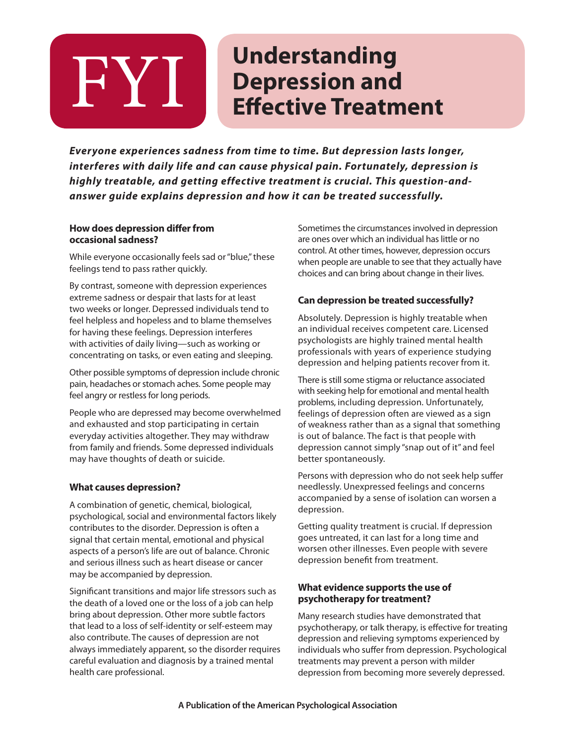# **Understanding DENAMILE SERVICE SCRIPPING**<br> **Depression and Effective Treatment**

*Everyone experiences sadness from time to time. But depression lasts longer, interferes with daily life and can cause physical pain. Fortunately, depression is highly treatable, and getting effective treatment is crucial. This question-andanswer guide explains depression and how it can be treated successfully.*

#### **How does depression differ from occasional sadness?**

While everyone occasionally feels sad or "blue," these feelings tend to pass rather quickly.

By contrast, someone with depression experiences extreme sadness or despair that lasts for at least two weeks or longer. Depressed individuals tend to feel helpless and hopeless and to blame themselves for having these feelings. Depression interferes with activities of daily living—such as working or concentrating on tasks, or even eating and sleeping.

Other possible symptoms of depression include chronic pain, headaches or stomach aches. Some people may feel angry or restless for long periods.

People who are depressed may become overwhelmed and exhausted and stop participating in certain everyday activities altogether. They may withdraw from family and friends. Some depressed individuals may have thoughts of death or suicide.

## **What causes depression?**

A combination of genetic, chemical, biological, psychological, social and environmental factors likely contributes to the disorder. Depression is often a signal that certain mental, emotional and physical aspects of a person's life are out of balance. Chronic and serious illness such as heart disease or cancer may be accompanied by depression.

Significant transitions and major life stressors such as the death of a loved one or the loss of a job can help bring about depression. Other more subtle factors that lead to a loss of self-identity or self-esteem may also contribute. The causes of depression are not always immediately apparent, so the disorder requires careful evaluation and diagnosis by a trained mental health care professional.

Sometimes the circumstances involved in depression are ones over which an individual has little or no control. At other times, however, depression occurs when people are unable to see that they actually have choices and can bring about change in their lives.

## **Can depression be treated successfully?**

Absolutely. Depression is highly treatable when an individual receives competent care. Licensed psychologists are highly trained mental health professionals with years of experience studying depression and helping patients recover from it.

There is still some stigma or reluctance associated with seeking help for emotional and mental health problems, including depression. Unfortunately, feelings of depression often are viewed as a sign of weakness rather than as a signal that something is out of balance. The fact is that people with depression cannot simply "snap out of it" and feel better spontaneously.

Persons with depression who do not seek help suffer needlessly. Unexpressed feelings and concerns accompanied by a sense of isolation can worsen a depression.

Getting quality treatment is crucial. If depression goes untreated, it can last for a long time and worsen other illnesses. Even people with severe depression benefit from treatment.

#### **What evidence supports the use of psychotherapy for treatment?**

Many research studies have demonstrated that psychotherapy, or talk therapy, is effective for treating depression and relieving symptoms experienced by individuals who suffer from depression. Psychological treatments may prevent a person with milder depression from becoming more severely depressed.